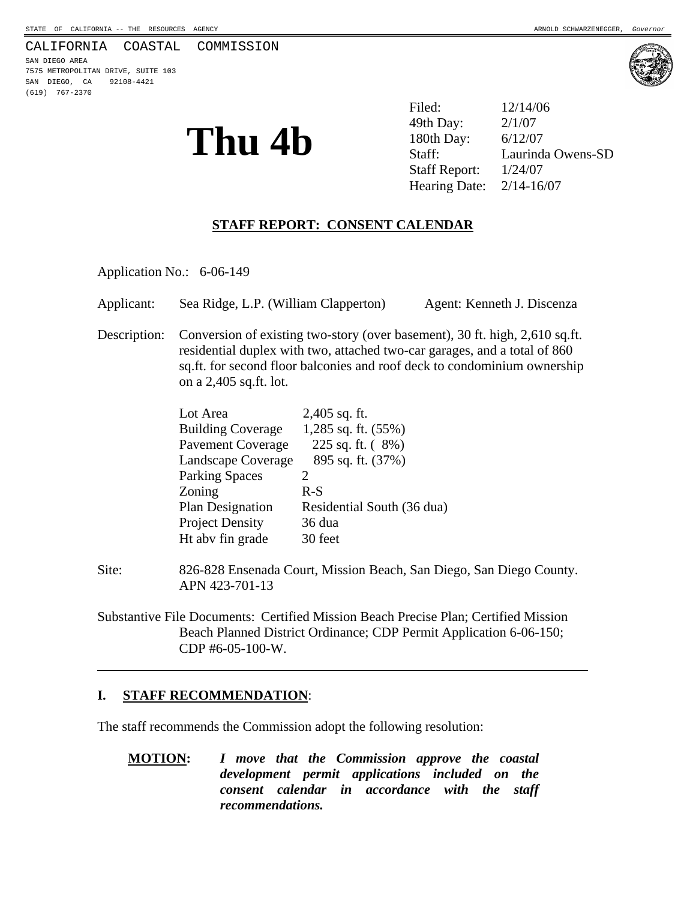#### CALIFORNIA COASTAL COMMISSION

SAN DIEGO AREA 7575 METROPOLITAN DRIVE, SUITE 103 SAN DIEGO, CA 92108-4421 (619) 767-2370



**Thu 4b**  $30th$  Day:  $2/1/07$ <br> $180th$  Day:  $6/12/07$ <br> $Staff:$  Laurind Filed: 12/14/06 49th Day: Laurinda Owens-SD Staff Report: 1/24/07 Hearing Date: 2/14-16/07

#### **STAFF REPORT: CONSENT CALENDAR**

Application No.: 6-06-149

Applicant: Sea Ridge, L.P. (William Clapperton) Agent: Kenneth J. Discenza

Description: Conversion of existing two-story (over basement), 30 ft. high, 2,610 sq.ft. residential duplex with two, attached two-car garages, and a total of 860 sq.ft. for second floor balconies and roof deck to condominium ownership on a 2,405 sq.ft. lot.

| Lot Area                 | $2,405$ sq. ft.            |
|--------------------------|----------------------------|
| <b>Building Coverage</b> | $1,285$ sq. ft. $(55%)$    |
| <b>Pavement Coverage</b> | 225 sq. ft. $(8%)$         |
| Landscape Coverage       | 895 sq. ft. (37%)          |
| <b>Parking Spaces</b>    |                            |
| Zoning                   | $R-S$                      |
| <b>Plan Designation</b>  | Residential South (36 dua) |
| <b>Project Density</b>   | 36 dua                     |
| Ht abv fin grade         | 30 feet                    |

Site: 826-828 Ensenada Court, Mission Beach, San Diego, San Diego County. APN 423-701-13

Substantive File Documents: Certified Mission Beach Precise Plan; Certified Mission Beach Planned District Ordinance; CDP Permit Application 6-06-150; CDP #6-05-100-W.

#### **I. STAFF RECOMMENDATION**:

 $\overline{a}$ 

The staff recommends the Commission adopt the following resolution:

**MOTION:** *I move that the Commission approve the coastal development permit applications included on the consent calendar in accordance with the staff recommendations.*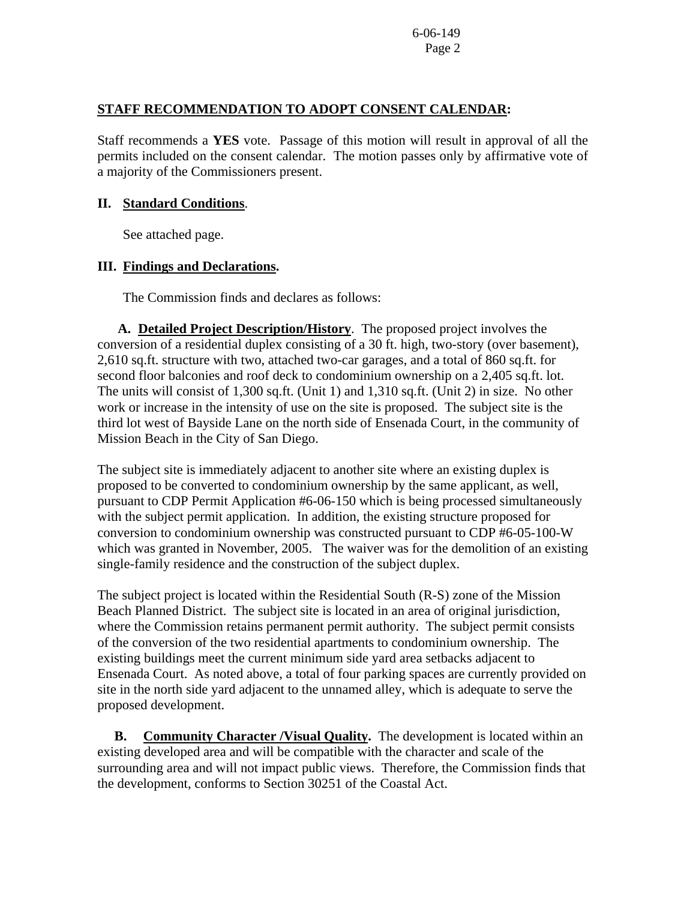6-06-149 Page 2

## **STAFF RECOMMENDATION TO ADOPT CONSENT CALENDAR:**

Staff recommends a **YES** vote. Passage of this motion will result in approval of all the permits included on the consent calendar. The motion passes only by affirmative vote of a majority of the Commissioners present.

## **II. Standard Conditions**.

See attached page.

## **III. Findings and Declarations.**

The Commission finds and declares as follows:

**A. Detailed Project Description/History**. The proposed project involves the conversion of a residential duplex consisting of a 30 ft. high, two-story (over basement), 2,610 sq.ft. structure with two, attached two-car garages, and a total of 860 sq.ft. for second floor balconies and roof deck to condominium ownership on a 2,405 sq.ft. lot. The units will consist of 1,300 sq.ft. (Unit 1) and 1,310 sq.ft. (Unit 2) in size. No other work or increase in the intensity of use on the site is proposed. The subject site is the third lot west of Bayside Lane on the north side of Ensenada Court, in the community of Mission Beach in the City of San Diego.

The subject site is immediately adjacent to another site where an existing duplex is proposed to be converted to condominium ownership by the same applicant, as well, pursuant to CDP Permit Application #6-06-150 which is being processed simultaneously with the subject permit application. In addition, the existing structure proposed for conversion to condominium ownership was constructed pursuant to CDP #6-05-100-W which was granted in November, 2005. The waiver was for the demolition of an existing single-family residence and the construction of the subject duplex.

The subject project is located within the Residential South (R-S) zone of the Mission Beach Planned District. The subject site is located in an area of original jurisdiction, where the Commission retains permanent permit authority. The subject permit consists of the conversion of the two residential apartments to condominium ownership. The existing buildings meet the current minimum side yard area setbacks adjacent to Ensenada Court. As noted above, a total of four parking spaces are currently provided on site in the north side yard adjacent to the unnamed alley, which is adequate to serve the proposed development.

 **B. Community Character /Visual Quality.** The development is located within an existing developed area and will be compatible with the character and scale of the surrounding area and will not impact public views. Therefore, the Commission finds that the development, conforms to Section 30251 of the Coastal Act.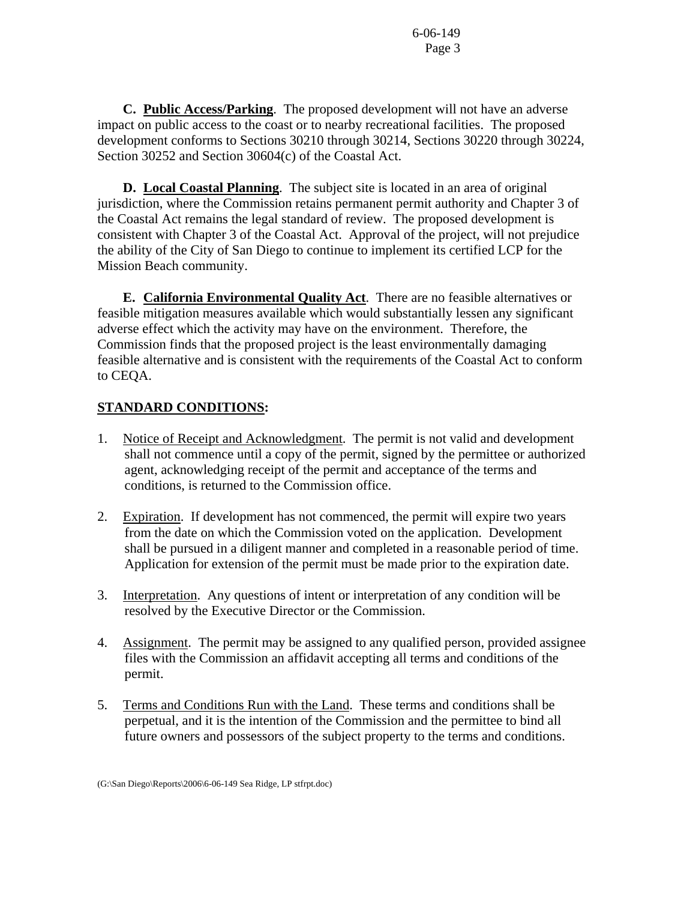6-06-149 Page 3

**C. Public Access/Parking**. The proposed development will not have an adverse impact on public access to the coast or to nearby recreational facilities. The proposed development conforms to Sections 30210 through 30214, Sections 30220 through 30224, Section 30252 and Section 30604(c) of the Coastal Act.

**D. Local Coastal Planning**. The subject site is located in an area of original jurisdiction, where the Commission retains permanent permit authority and Chapter 3 of the Coastal Act remains the legal standard of review. The proposed development is consistent with Chapter 3 of the Coastal Act. Approval of the project, will not prejudice the ability of the City of San Diego to continue to implement its certified LCP for the Mission Beach community.

 **E. California Environmental Quality Act**. There are no feasible alternatives or feasible mitigation measures available which would substantially lessen any significant adverse effect which the activity may have on the environment. Therefore, the Commission finds that the proposed project is the least environmentally damaging feasible alternative and is consistent with the requirements of the Coastal Act to conform to CEQA.

# **STANDARD CONDITIONS:**

- 1. Notice of Receipt and Acknowledgment. The permit is not valid and development shall not commence until a copy of the permit, signed by the permittee or authorized agent, acknowledging receipt of the permit and acceptance of the terms and conditions, is returned to the Commission office.
- 2. Expiration. If development has not commenced, the permit will expire two years from the date on which the Commission voted on the application. Development shall be pursued in a diligent manner and completed in a reasonable period of time. Application for extension of the permit must be made prior to the expiration date.
- 3. Interpretation. Any questions of intent or interpretation of any condition will be resolved by the Executive Director or the Commission.
- 4. Assignment. The permit may be assigned to any qualified person, provided assignee files with the Commission an affidavit accepting all terms and conditions of the permit.
- 5. Terms and Conditions Run with the Land. These terms and conditions shall be perpetual, and it is the intention of the Commission and the permittee to bind all future owners and possessors of the subject property to the terms and conditions.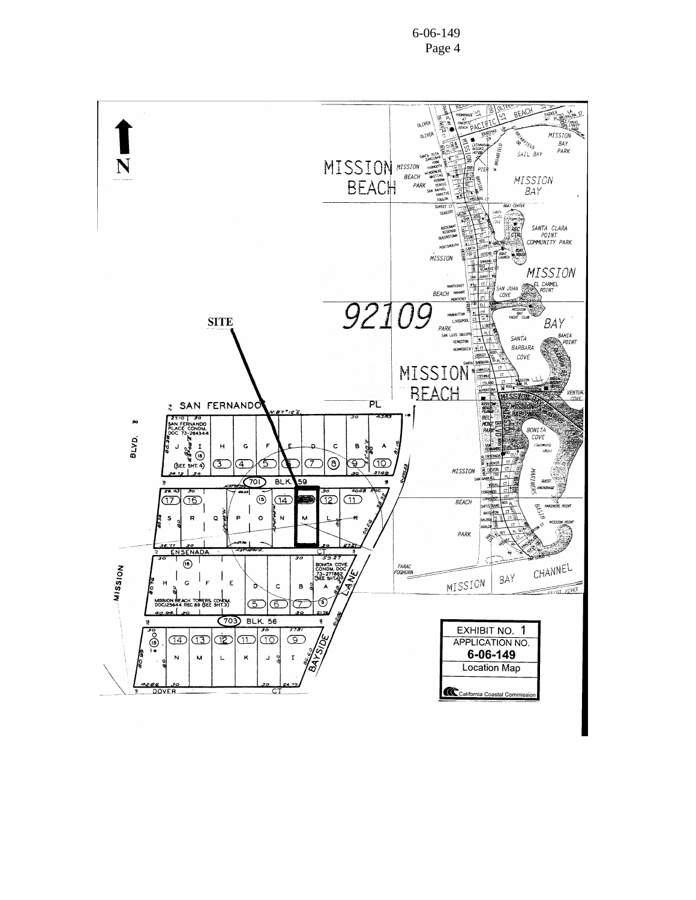6-06-149 Page 4